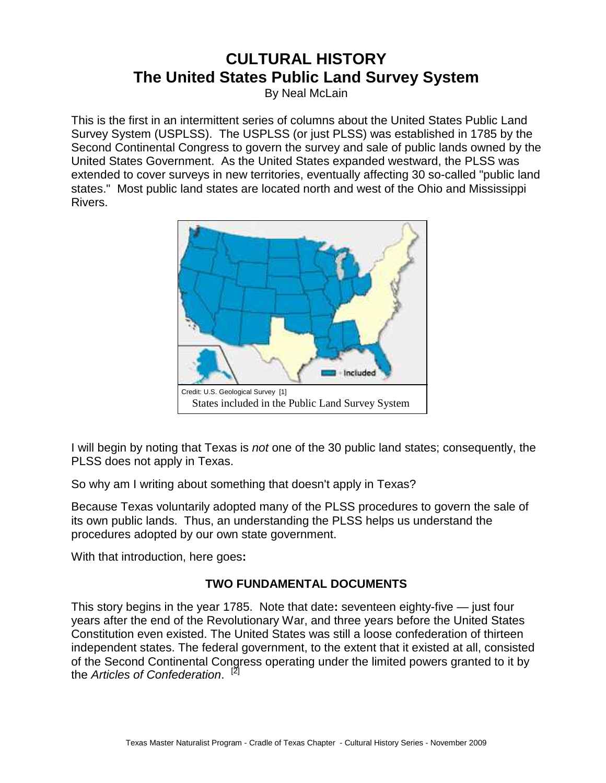# **CULTURAL HISTORY The United States Public Land Survey System**

By Neal McLain

This is the first in an intermittent series of columns about the United States Public Land Survey System (USPLSS). The USPLSS (or just PLSS) was established in 1785 by the Second Continental Congress to govern the survey and sale of public lands owned by the United States Government. As the United States expanded westward, the PLSS was extended to cover surveys in new territories, eventually affecting 30 so-called "public land states." Most public land states are located north and west of the Ohio and Mississippi Rivers.



I will begin by noting that Texas is not one of the 30 public land states; consequently, the PLSS does not apply in Texas.

So why am I writing about something that doesn't apply in Texas?

Because Texas voluntarily adopted many of the PLSS procedures to govern the sale of its own public lands. Thus, an understanding the PLSS helps us understand the procedures adopted by our own state government.

With that introduction, here goes**:**

#### **TWO FUNDAMENTAL DOCUMENTS**

This story begins in the year 1785. Note that date**:** seventeen eighty-five — just four years after the end of the Revolutionary War, and three years before the United States Constitution even existed. The United States was still a loose confederation of thirteen independent states. The federal government, to the extent that it existed at all, consisted of the Second Continental Congress operating under the limited powers granted to it by the Articles of Confederation. <sup>[2]</sup>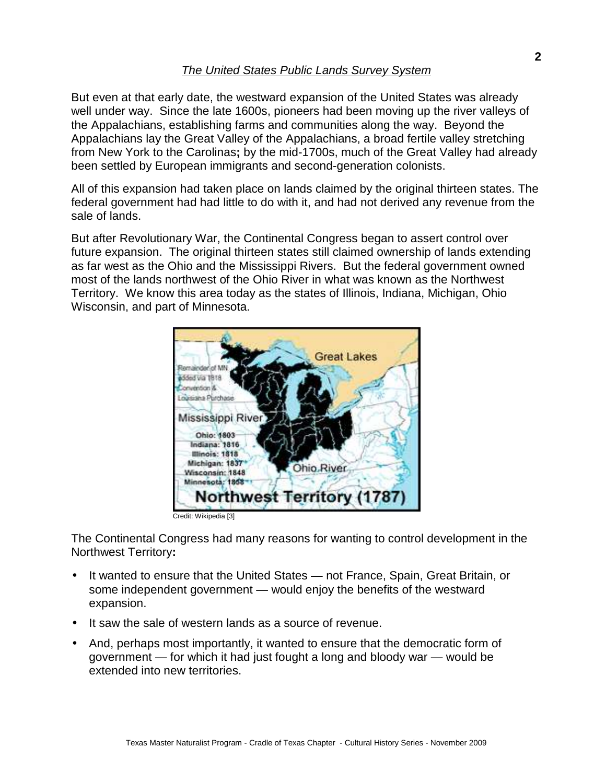But even at that early date, the westward expansion of the United States was already well under way. Since the late 1600s, pioneers had been moving up the river valleys of the Appalachians, establishing farms and communities along the way. Beyond the Appalachians lay the Great Valley of the Appalachians, a broad fertile valley stretching from New York to the Carolinas**;** by the mid-1700s, much of the Great Valley had already been settled by European immigrants and second-generation colonists.

All of this expansion had taken place on lands claimed by the original thirteen states. The federal government had had little to do with it, and had not derived any revenue from the sale of lands.

But after Revolutionary War, the Continental Congress began to assert control over future expansion. The original thirteen states still claimed ownership of lands extending as far west as the Ohio and the Mississippi Rivers. But the federal government owned most of the lands northwest of the Ohio River in what was known as the Northwest Territory. We know this area today as the states of Illinois, Indiana, Michigan, Ohio Wisconsin, and part of Minnesota.



The Continental Congress had many reasons for wanting to control development in the Northwest Territory**:**

- It wanted to ensure that the United States not France, Spain, Great Britain, or some independent government — would enjoy the benefits of the westward expansion.
- It saw the sale of western lands as a source of revenue.
- And, perhaps most importantly, it wanted to ensure that the democratic form of government — for which it had just fought a long and bloody war — would be extended into new territories.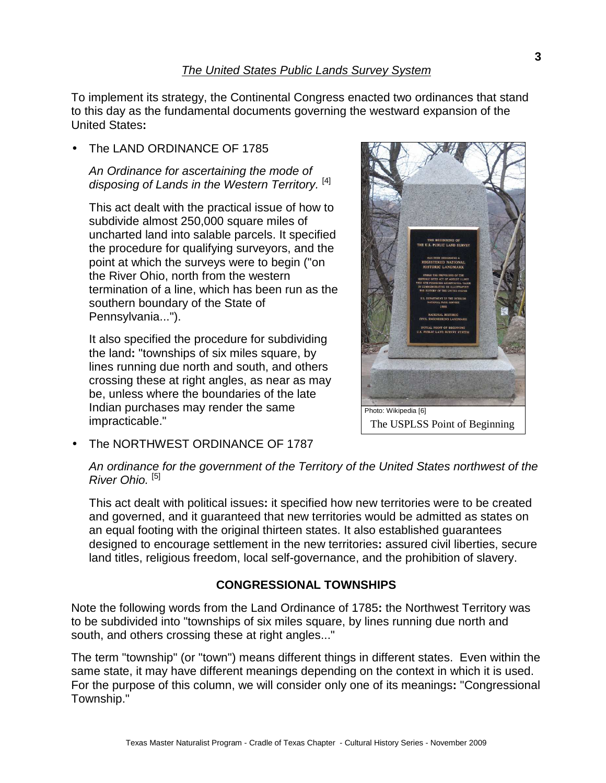To implement its strategy, the Continental Congress enacted two ordinances that stand to this day as the fundamental documents governing the westward expansion of the United States**:**

The LAND ORDINANCE OF 1785

An Ordinance for ascertaining the mode of disposing of Lands in the Western Territory.<sup>[4]</sup>

This act dealt with the practical issue of how to subdivide almost 250,000 square miles of uncharted land into salable parcels. It specified the procedure for qualifying surveyors, and the point at which the surveys were to begin ("on the River Ohio, north from the western termination of a line, which has been run as the southern boundary of the State of Pennsylvania...").

It also specified the procedure for subdividing the land**:** "townships of six miles square, by lines running due north and south, and others crossing these at right angles, as near as may be, unless where the boundaries of the late Indian purchases may render the same impracticable."



The USPLSS Point of Beginning

The NORTHWEST ORDINANCE OF 1787

An ordinance for the government of the Territory of the United States northwest of the River Ohio. [5]

This act dealt with political issues**:** it specified how new territories were to be created and governed, and it guaranteed that new territories would be admitted as states on an equal footing with the original thirteen states. It also established guarantees designed to encourage settlement in the new territories**:** assured civil liberties, secure land titles, religious freedom, local self-governance, and the prohibition of slavery.

#### **CONGRESSIONAL TOWNSHIPS**

Note the following words from the Land Ordinance of 1785**:** the Northwest Territory was to be subdivided into "townships of six miles square, by lines running due north and south, and others crossing these at right angles..."

The term "township" (or "town") means different things in different states. Even within the same state, it may have different meanings depending on the context in which it is used. For the purpose of this column, we will consider only one of its meanings**:** "Congressional Township."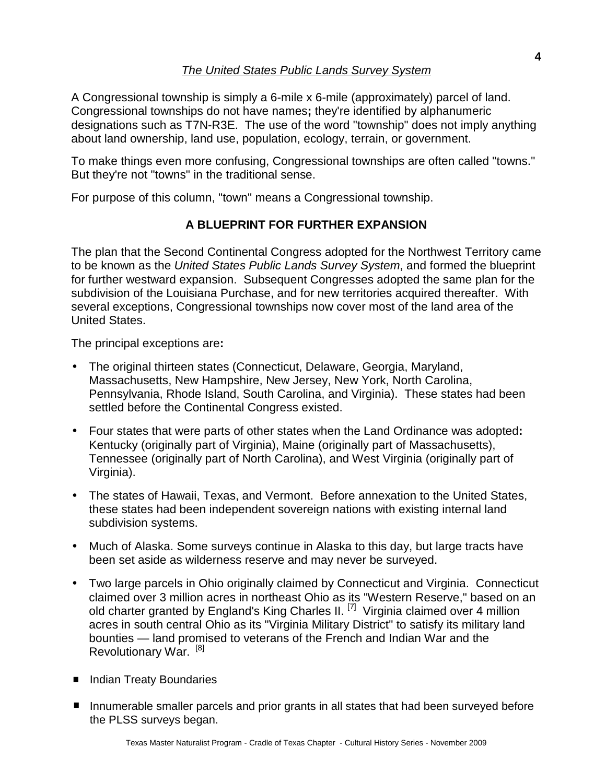A Congressional township is simply a 6-mile x 6-mile (approximately) parcel of land. Congressional townships do not have names**;** they're identified by alphanumeric designations such as T7N-R3E. The use of the word "township" does not imply anything about land ownership, land use, population, ecology, terrain, or government.

To make things even more confusing, Congressional townships are often called "towns." But they're not "towns" in the traditional sense.

For purpose of this column, "town" means a Congressional township.

## **A BLUEPRINT FOR FURTHER EXPANSION**

The plan that the Second Continental Congress adopted for the Northwest Territory came to be known as the United States Public Lands Survey System, and formed the blueprint for further westward expansion. Subsequent Congresses adopted the same plan for the subdivision of the Louisiana Purchase, and for new territories acquired thereafter. With several exceptions, Congressional townships now cover most of the land area of the United States.

The principal exceptions are**:**

- The original thirteen states (Connecticut, Delaware, Georgia, Maryland, Massachusetts, New Hampshire, New Jersey, New York, North Carolina, Pennsylvania, Rhode Island, South Carolina, and Virginia). These states had been settled before the Continental Congress existed.
- Four states that were parts of other states when the Land Ordinance was adopted**:** Kentucky (originally part of Virginia), Maine (originally part of Massachusetts), Tennessee (originally part of North Carolina), and West Virginia (originally part of Virginia).
- The states of Hawaii, Texas, and Vermont. Before annexation to the United States, these states had been independent sovereign nations with existing internal land subdivision systems.
- Much of Alaska. Some surveys continue in Alaska to this day, but large tracts have been set aside as wilderness reserve and may never be surveyed.
- Two large parcels in Ohio originally claimed by Connecticut and Virginia. Connecticut claimed over 3 million acres in northeast Ohio as its "Western Reserve," based on an old charter granted by England's King Charles II.  $^{[7]}$  Virginia claimed over 4 million acres in south central Ohio as its "Virginia Military District" to satisfy its military land bounties — land promised to veterans of the French and Indian War and the Revolutionary War. [8] . .
- $\blacksquare$  Indian Treaty Boundaries and prior grants in all states that had been surveyed been surveyed by  $\blacksquare$ before the PLSS surveys began. ■ Indian Treaty Boundaries
- Innumerable smaller parcels and prior grants in all states that had been surveyed before the PLSS surveys began. . .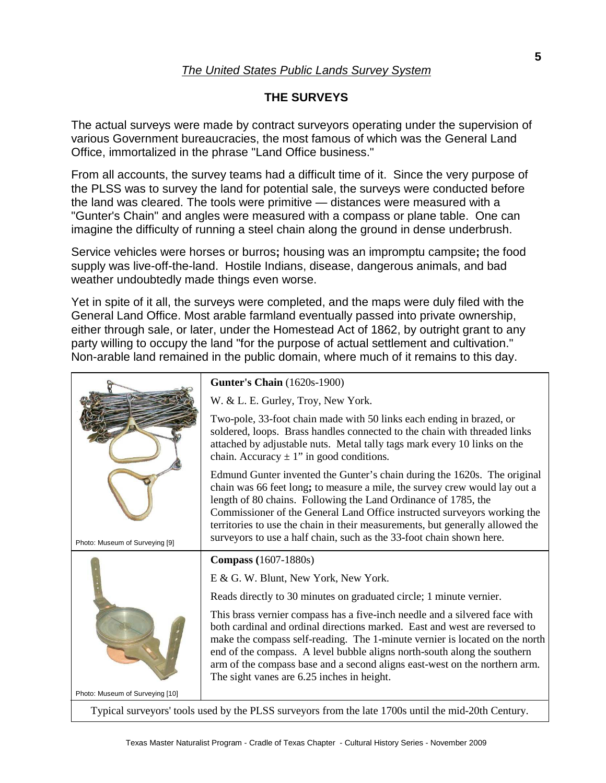#### **THE SURVEYS**

The actual surveys were made by contract surveyors operating under the supervision of various Government bureaucracies, the most famous of which was the General Land Office, immortalized in the phrase "Land Office business."

From all accounts, the survey teams had a difficult time of it. Since the very purpose of the PLSS was to survey the land for potential sale, the surveys were conducted before the land was cleared. The tools were primitive — distances were measured with a "Gunter's Chain" and angles were measured with a compass or plane table. One can imagine the difficulty of running a steel chain along the ground in dense underbrush.

Service vehicles were horses or burros**;** housing was an impromptu campsite**;** the food supply was live-off-the-land. Hostile Indians, disease, dangerous animals, and bad weather undoubtedly made things even worse.

Yet in spite of it all, the surveys were completed, and the maps were duly filed with the General Land Office. Most arable farmland eventually passed into private ownership, either through sale, or later, under the Homestead Act of 1862, by outright grant to any party willing to occupy the land "for the purpose of actual settlement and cultivation." Non-arable land remained in the public domain, where much of it remains to this day.

|                                 | <b>Gunter's Chain</b> (1620s-1900)                                                                                                                                                                                                                                                                                                                                                                                                                            |
|---------------------------------|---------------------------------------------------------------------------------------------------------------------------------------------------------------------------------------------------------------------------------------------------------------------------------------------------------------------------------------------------------------------------------------------------------------------------------------------------------------|
|                                 | W. & L. E. Gurley, Troy, New York.                                                                                                                                                                                                                                                                                                                                                                                                                            |
|                                 | Two-pole, 33-foot chain made with 50 links each ending in brazed, or<br>soldered, loops. Brass handles connected to the chain with threaded links<br>attached by adjustable nuts. Metal tally tags mark every 10 links on the<br>chain. Accuracy $\pm$ 1" in good conditions.                                                                                                                                                                                 |
| Photo: Museum of Surveying [9]  | Edmund Gunter invented the Gunter's chain during the 1620s. The original<br>chain was 66 feet long; to measure a mile, the survey crew would lay out a<br>length of 80 chains. Following the Land Ordinance of 1785, the<br>Commissioner of the General Land Office instructed surveyors working the<br>territories to use the chain in their measurements, but generally allowed the<br>surveyors to use a half chain, such as the 33-foot chain shown here. |
|                                 | <b>Compass</b> (1607-1880s)                                                                                                                                                                                                                                                                                                                                                                                                                                   |
|                                 | E & G. W. Blunt, New York, New York.                                                                                                                                                                                                                                                                                                                                                                                                                          |
|                                 | Reads directly to 30 minutes on graduated circle; 1 minute vernier.                                                                                                                                                                                                                                                                                                                                                                                           |
|                                 | This brass vernier compass has a five-inch needle and a silvered face with<br>both cardinal and ordinal directions marked. East and west are reversed to<br>make the compass self-reading. The 1-minute vernier is located on the north<br>end of the compass. A level bubble aligns north-south along the southern<br>arm of the compass base and a second aligns east-west on the northern arm.<br>The sight vanes are 6.25 inches in height.               |
| Photo: Museum of Surveying [10] |                                                                                                                                                                                                                                                                                                                                                                                                                                                               |

Typical surveyors' tools used by the PLSS surveyors from the late 1700s until the mid-20th Century.